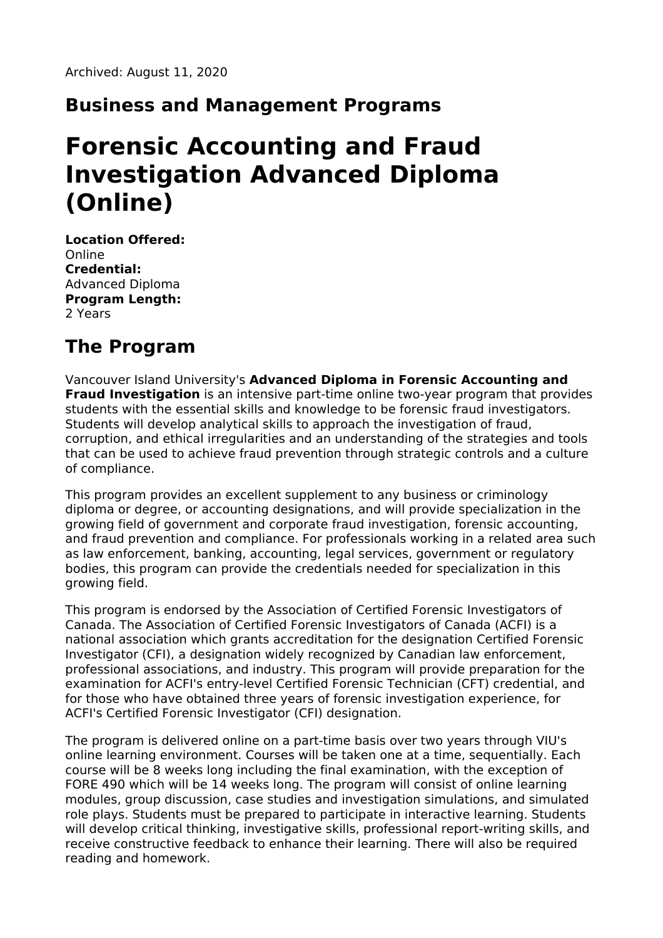#### **Business and Management Programs**

# **Forensic Accounting and Fraud Investigation Advanced Diploma (Online)**

**Location Offered:** Online **Credential:** Advanced Diploma **Program Length:** 2 Years

# **The Program**

Vancouver Island University's **Advanced Diploma in Forensic Accounting and Fraud Investigation** is an intensive part-time online two-year program that provides students with the essential skills and knowledge to be forensic fraud investigators. Students will develop analytical skills to approach the investigation of fraud, corruption, and ethical irregularities and an understanding of the strategies and tools that can be used to achieve fraud prevention through strategic controls and a culture of compliance.

This program provides an excellent supplement to any business or criminology diploma or degree, or accounting designations, and will provide specialization in the growing field of government and corporate fraud investigation, forensic accounting, and fraud prevention and compliance. For professionals working in a related area such as law enforcement, banking, accounting, legal services, government or regulatory bodies, this program can provide the credentials needed for specialization in this growing field.

This program is endorsed by the Association of Certified Forensic Investigators of Canada. The Association of Certified Forensic Investigators of Canada (ACFI) is a national association which grants accreditation for the designation Certified Forensic Investigator (CFI), a designation widely recognized by Canadian law enforcement, professional associations, and industry. This program will provide preparation for the examination for ACFI's entry-level Certified Forensic Technician (CFT) credential, and for those who have obtained three years of forensic investigation experience, for ACFI's Certified Forensic Investigator (CFI) designation.

The program is delivered online on a part-time basis over two years through VIU's online learning environment. Courses will be taken one at a time, sequentially. Each course will be 8 weeks long including the final examination, with the exception of FORE 490 which will be 14 weeks long. The program will consist of online learning modules, group discussion, case studies and investigation simulations, and simulated role plays. Students must be prepared to participate in interactive learning. Students will develop critical thinking, investigative skills, professional report-writing skills, and receive constructive feedback to enhance their learning. There will also be required reading and homework.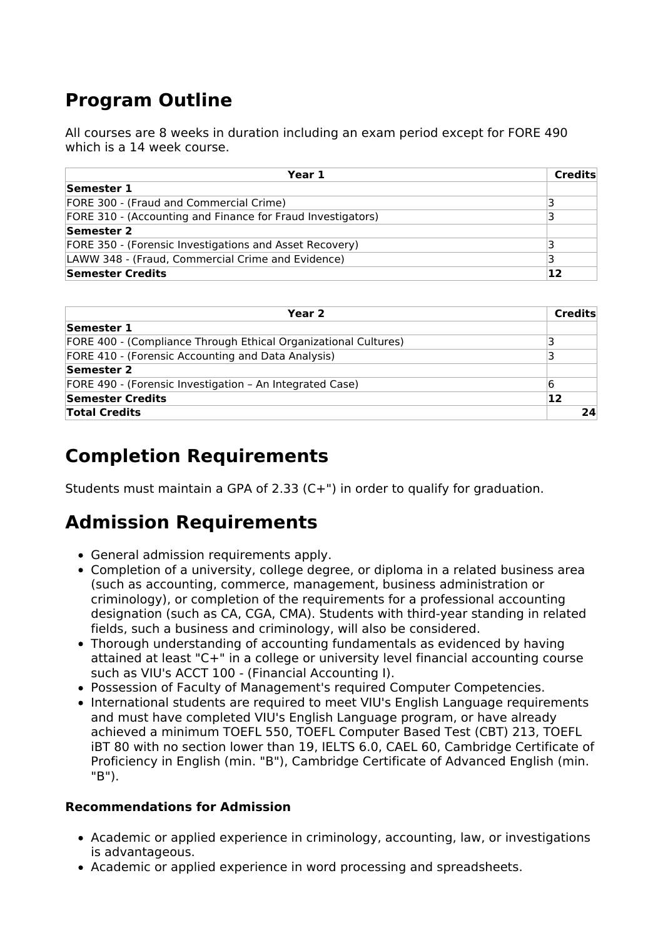# **Program Outline**

All courses are 8 weeks in duration including an exam period except for FORE 490 which is a 14 week course.

| Year 1                                                      | <b>Credits</b> |
|-------------------------------------------------------------|----------------|
| Semester 1                                                  |                |
| FORE 300 - (Fraud and Commercial Crime)                     |                |
| FORE 310 - (Accounting and Finance for Fraud Investigators) | ₹              |
| Semester 2                                                  |                |
| FORE 350 - (Forensic Investigations and Asset Recovery)     |                |
| LAWW 348 - (Fraud, Commercial Crime and Evidence)           |                |
| Semester Credits                                            | 12             |

| Year 2                                                          | <b>Credits</b> |
|-----------------------------------------------------------------|----------------|
| Semester 1                                                      |                |
| FORE 400 - (Compliance Through Ethical Organizational Cultures) | 3              |
| FORE 410 - (Forensic Accounting and Data Analysis)              | ₹              |
| Semester 2                                                      |                |
| FORE 490 - (Forensic Investigation – An Integrated Case)        | 16             |
| Semester Credits                                                | 12             |
| <b>Total Credits</b>                                            | 24             |

### **Completion Requirements**

Students must maintain a GPA of 2.33 (C+") in order to qualify for graduation.

## **Admission Requirements**

- General admission requirements apply.
- Completion of a university, college degree, or diploma in a related business area (such as accounting, commerce, management, business administration or criminology), or completion of the requirements for a professional accounting designation (such as CA, CGA, CMA). Students with third-year standing in related fields, such a business and criminology, will also be considered.
- Thorough understanding of accounting fundamentals as evidenced by having attained at least "C+" in a college or university level financial accounting course such as VIU's ACCT 100 - (Financial Accounting I).
- Possession of Faculty of Management's required Computer Competencies.
- International students are required to meet VIU's English Language requirements and must have completed VIU's English Language program, or have already achieved a minimum TOEFL 550, TOEFL Computer Based Test (CBT) 213, TOEFL iBT 80 with no section lower than 19, IELTS 6.0, CAEL 60, Cambridge Certificate of Proficiency in English (min. "B"), Cambridge Certificate of Advanced English (min. "B").

#### **Recommendations for Admission**

- Academic or applied experience in criminology, accounting, law, or investigations is advantageous.
- Academic or applied experience in word processing and spreadsheets.